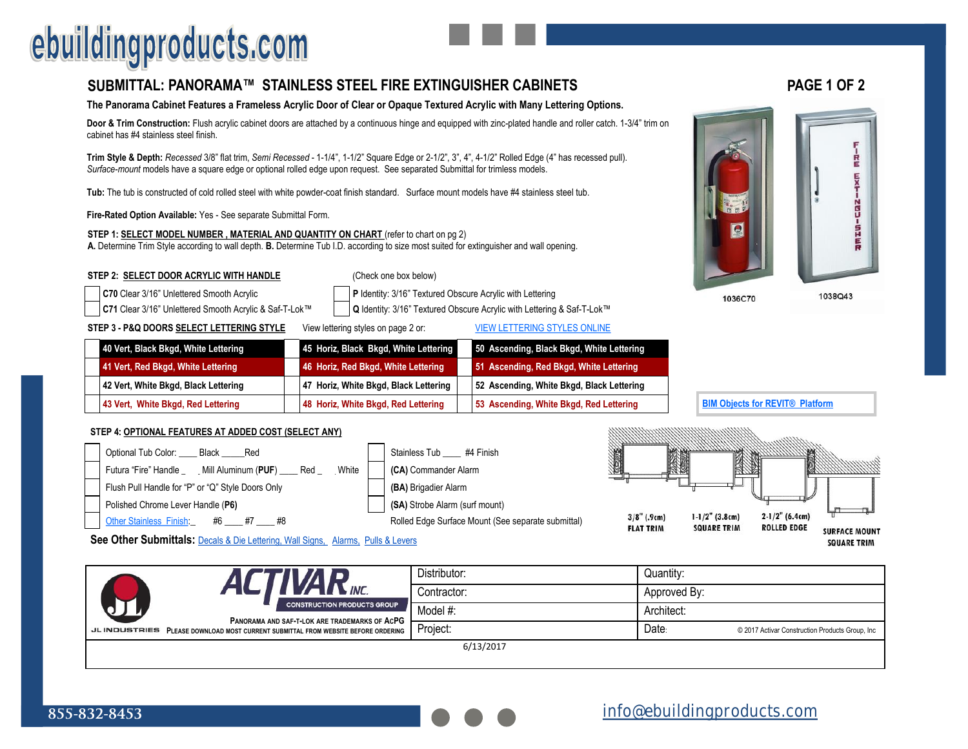# ebuildingproducts.com

### **[SUBMITTAL: PANORAMA™ STAINLESS STEEL FIRE EXTINGUISHER CABINETS](https://www.ebuildingproducts.com/product/Panorama_Fire_Extinguisher_Cabinet_with_Stainless_Steel_Trim) PAGE 1 OF 2**

### **The Panorama Cabinet Features a Frameless Acrylic Door of Clear or Opaque Textured Acrylic with Many Lettering Options.**

**Door & Trim Construction:** Flush acrylic cabinet doors are attached by a continuous hinge and equipped with zinc-plated handle and roller catch. 1-3/4" trim on cabinet has #4 stainless steel finish.

**Trim Style & Depth:** *Recessed* 3/8" flat trim, *Semi Recessed* - 1-1/4", 1-1/2" Square Edge or 2-1/2", 3", 4", 4-1/2" Rolled Edge (4" has recessed pull). *Surface-mount* models have a square edge or optional rolled edge upon request. See separated Submittal for trimless models.

**Tub:** The tub is constructed of cold rolled steel with white powder-coat finish standard. Surface mount models have #4 stainless steel tub.

**Fire-Rated Option Available:** Yes - See separate Submittal Form.

**STEP 1: SELECT MODEL NUMBER , MATERIAL AND QUANTITY ON CHART** (refer to chart on pg 2) **A.** Determine Trim Style according to wall depth. **B.** Determine Tub I.D. according to size most suited for extinguisher and wall opening.

#### **STEP 2: SELECT DOOR ACRYLIC WITH HANDLE** (Check one box below)

**C70** Clear 3/16" Unlettered Smooth Acrylic **Property P** Identity: 3/16" Textured Obscure Acrylic with Lettering

**C71** Clear 3/16" Unlettered Smooth Acrylic & Saf-T-Lok™ **Q** Identity: 3/16" Textured Obscure Acrylic with Lettering & Saf-T-Lok™

**STEP 3 - P&Q DOORS SELECT LETTERING STYLE** View lettering styles on page 2 or: [VIEW LETTERING STYLES ONLINE](http://67.107.84.130/sites/default/files/products/TechnicalInformation/Panorama%20Door%20Glazing%20Selection.pdf)

| 40 Vert, Black Bkgd, White Lettering | 45 Horiz, Black Bkgd, White Lettering | 50 Ascending, Black Bkgd, White Lettering |
|--------------------------------------|---------------------------------------|-------------------------------------------|
| 41 Vert, Red Bkgd, White Lettering   | 46 Horiz, Red Bkgd, White Lettering   | 51 Ascending, Red Bkgd, White Lettering   |
| 42 Vert, White Bkgd, Black Lettering | 47 Horiz, White Bkgd, Black Lettering | 52 Ascending, White Bkgd, Black Lettering |
| 43 Vert, White Bkgd, Red Lettering   | 48 Horiz, White Bkgd, Red Lettering   | 53 Ascending, White Bkgd, Red Lettering   |

#### **STEP 4: OPTIONAL FEATURES AT ADDED COST (SELECT ANY)**



**See Other Submittals:** [Decals & Die Lettering, Wall Signs,](http://www.activarcpg.com/sites/default/files/submittals/JL/FE_Cabinet_Decals_and_Die_Cut_Lettering.pdf) [Alarms,](http://www.activarcpg.com/sites/default/files/products/TechnicalInformation/Alarm%20Options.pdf) [Pulls & Levers](http://67.107.84.130/sites/default/files/products/TechnicalInformation/FEC%20Lock%20Options.pdf)

|                     | <b>N</b> INC.                                                                       | Distributor: | Quantity:    |                                                 |  |
|---------------------|-------------------------------------------------------------------------------------|--------------|--------------|-------------------------------------------------|--|
|                     |                                                                                     | Contractor:  | Approved By: |                                                 |  |
|                     | <b>CONSTRUCTION PRODUCTS GROUP</b><br>PANORAMA AND SAF-T-LOK ARE TRADEMARKS OF ACPG | Model #:     | Architect:   |                                                 |  |
| <b>JLINDUSTRIES</b> | PLEASE DOWNLOAD MOST CURRENT SUBMITTAL FROM WEBSITE BEFORE ORDERING                 | Project:     | Date:        | © 2017 Activar Construction Products Group, Inc |  |
|                     |                                                                                     | 6/13/2017    |              |                                                 |  |



1036C70

**[BIM Objects for REVIT® Platform](http://www.activarcpg.com/news/new-revit-models-jl-cabinets-now-available)** 

1038Q43

**SQUARE TRIM**